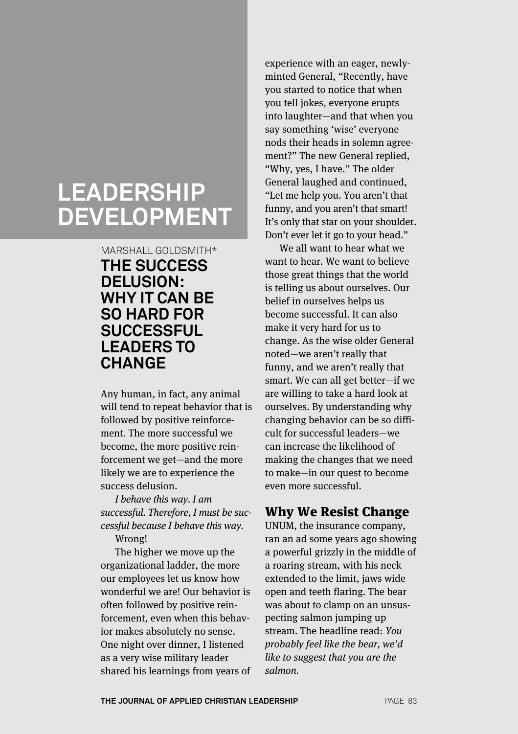# **LEADERSHIP DEVELOPMENT**

## MARSHALL GOLDSMITH\* **THE SUCCESS DELUSION: WHY IT CAN BE SO HARD FOR SUCCESSFUL LEADERS TO CHANGE**

Any human, in fact, any animal will tend to repeat behavior that is followed by positive reinforcement. The more successful we become, the more positive reinforcement we get—and the more likely we are to experience the success delusion.

I behave this way. I am successful. Therefore, I must be successful because I behave this way.

Wrong!

The higher we move up the organizational ladder, the more our employees let us know how wonderful we are! Our behavior is often followed by positive reinforcement, even when this behavior makes absolutely no sense. One night over dinner, I listened as a very wise military leader shared his learnings from years of

experience with an eager, newlyminted General, "Recently, have you started to notice that when you tell jokes, everyone erupts into laughter—and that when you say something 'wise' everyone nods their heads in solemn agreement?" The new General replied, "Why, yes, I have." The older General laughed and continued, "Let me help you. You aren't that funny, and you aren't that smart! It's only that star on your shoulder. Don't ever let it go to your head."

We all want to hear what we want to hear. We want to believe those great things that the world is telling us about ourselves. Our belief in ourselves helps us become successful. It can also make it very hard for us to change. As the wise older General noted—we aren't really that funny, and we aren't really that smart. We can all get better—if we are willing to take a hard look at ourselves. By understanding why changing behavior can be so difficult for successful leaders—we can increase the likelihood of making the changes that we need to make—in our quest to become even more successful.

### Why We Resist Change

UNUM, the insurance company, ran an ad some years ago showing a powerful grizzly in the middle of a roaring stream, with his neck extended to the limit, jaws wide open and teeth flaring. The bear was about to clamp on an unsuspecting salmon jumping up stream. The headline read: You probably feel like the bear, we'd like to suggest that you are the salmon.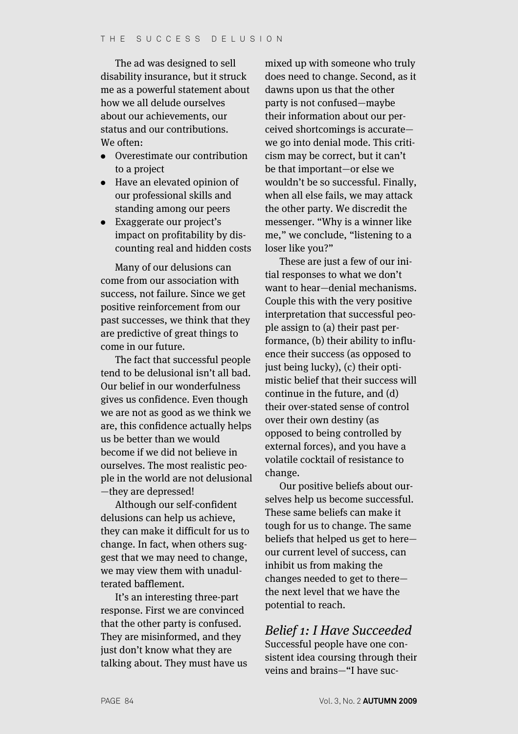The ad was designed to sell disability insurance, but it struck me as a powerful statement about how we all delude ourselves about our achievements, our status and our contributions. We often:

- Overestimate our contribution to a project
- Have an elevated opinion of our professional skills and standing among our peers
- Exaggerate our project's impact on profitability by discounting real and hidden costs

Many of our delusions can come from our association with success, not failure. Since we get positive reinforcement from our past successes, we think that they are predictive of great things to come in our future.

The fact that successful people tend to be delusional isn't all bad. Our belief in our wonderfulness gives us confidence. Even though we are not as good as we think we are, this confidence actually helps us be better than we would become if we did not believe in ourselves. The most realistic people in the world are not delusional —they are depressed!

Although our self-confident delusions can help us achieve, they can make it difficult for us to change. In fact, when others suggest that we may need to change, we may view them with unadulterated bafflement.

It's an interesting three-part response. First we are convinced that the other party is confused. They are misinformed, and they just don't know what they are talking about. They must have us

mixed up with someone who truly does need to change. Second, as it dawns upon us that the other party is not confused—maybe their information about our perceived shortcomings is accurate we go into denial mode. This criticism may be correct, but it can't be that important—or else we wouldn't be so successful. Finally, when all else fails, we may attack the other party. We discredit the messenger. "Why is a winner like me," we conclude, "listening to a loser like you?"

These are just a few of our initial responses to what we don't want to hear—denial mechanisms. Couple this with the very positive interpretation that successful people assign to (a) their past performance, (b) their ability to influence their success (as opposed to just being lucky), (c) their optimistic belief that their success will continue in the future, and (d) their over-stated sense of control over their own destiny (as opposed to being controlled by external forces), and you have a volatile cocktail of resistance to change.

Our positive beliefs about ourselves help us become successful. These same beliefs can make it tough for us to change. The same beliefs that helped us get to here our current level of success, can inhibit us from making the changes needed to get to there the next level that we have the potential to reach.

#### Belief 1: I Have Succeeded

Successful people have one consistent idea coursing through their veins and brains—"I have suc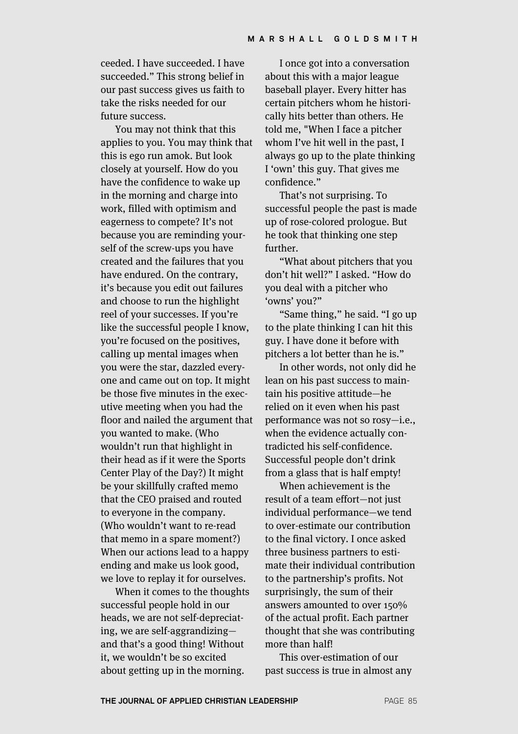ceeded. I have succeeded. I have succeeded." This strong belief in our past success gives us faith to take the risks needed for our future success.

You may not think that this applies to you. You may think that this is ego run amok. But look closely at yourself. How do you have the confidence to wake up in the morning and charge into work, filled with optimism and eagerness to compete? It's not because you are reminding yourself of the screw-ups you have created and the failures that you have endured. On the contrary, it's because you edit out failures and choose to run the highlight reel of your successes. If you're like the successful people I know, you're focused on the positives, calling up mental images when you were the star, dazzled everyone and came out on top. It might be those five minutes in the executive meeting when you had the floor and nailed the argument that you wanted to make. (Who wouldn't run that highlight in their head as if it were the Sports Center Play of the Day?) It might be your skillfully crafted memo that the CEO praised and routed to everyone in the company. (Who wouldn't want to re-read that memo in a spare moment?) When our actions lead to a happy ending and make us look good, we love to replay it for ourselves.

When it comes to the thoughts successful people hold in our heads, we are not self-depreciating, we are self-aggrandizing and that's a good thing! Without it, we wouldn't be so excited about getting up in the morning.

I once got into a conversation about this with a major league baseball player. Every hitter has certain pitchers whom he historically hits better than others. He told me, "When I face a pitcher whom I've hit well in the past, I always go up to the plate thinking I 'own' this guy. That gives me confidence."

That's not surprising. To successful people the past is made up of rose-colored prologue. But he took that thinking one step further.

"What about pitchers that you don't hit well?" I asked. "How do you deal with a pitcher who 'owns' you?"

"Same thing," he said. "I go up to the plate thinking I can hit this guy. I have done it before with pitchers a lot better than he is."

In other words, not only did he lean on his past success to maintain his positive attitude—he relied on it even when his past performance was not so rosy—i.e., when the evidence actually contradicted his self-confidence. Successful people don't drink from a glass that is half empty!

When achievement is the result of a team effort—not just individual performance—we tend to over-estimate our contribution to the final victory. I once asked three business partners to estimate their individual contribution to the partnership's profits. Not surprisingly, the sum of their answers amounted to over 150% of the actual profit. Each partner thought that she was contributing more than half!

This over-estimation of our past success is true in almost any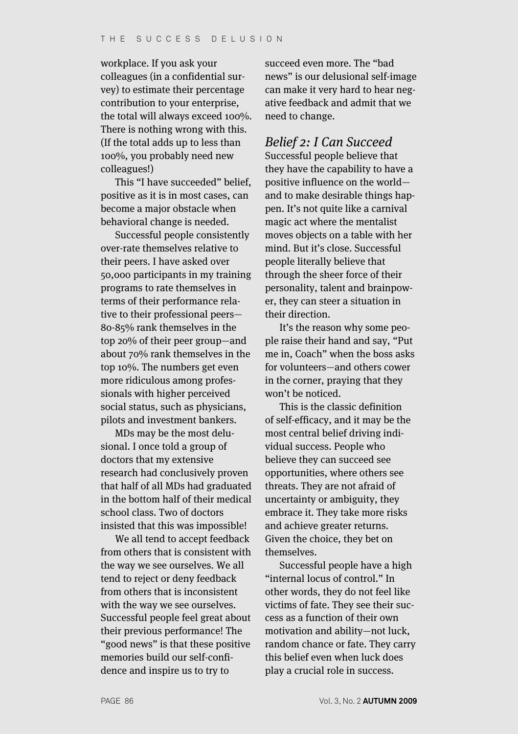workplace. If you ask your colleagues (in a confidential survey) to estimate their percentage contribution to your enterprise, the total will always exceed 100%. There is nothing wrong with this. (If the total adds up to less than 100%, you probably need new colleagues!)

This "I have succeeded" belief, positive as it is in most cases, can become a major obstacle when behavioral change is needed.

Successful people consistently over-rate themselves relative to their peers. I have asked over 50,000 participants in my training programs to rate themselves in terms of their performance relative to their professional peers— 80-85% rank themselves in the top 20% of their peer group—and about 70% rank themselves in the top 10%. The numbers get even more ridiculous among professionals with higher perceived social status, such as physicians, pilots and investment bankers.

MDs may be the most delusional. I once told a group of doctors that my extensive research had conclusively proven that half of all MDs had graduated in the bottom half of their medical school class. Two of doctors insisted that this was impossible!

We all tend to accept feedback from others that is consistent with the way we see ourselves. We all tend to reject or deny feedback from others that is inconsistent with the way we see ourselves. Successful people feel great about their previous performance! The "good news" is that these positive memories build our self-confidence and inspire us to try to

succeed even more. The "bad news" is our delusional self-image can make it very hard to hear negative feedback and admit that we need to change.

#### Belief 2: I Can Succeed

Successful people believe that they have the capability to have a positive influence on the world and to make desirable things happen. It's not quite like a carnival magic act where the mentalist moves objects on a table with her mind. But it's close. Successful people literally believe that through the sheer force of their personality, talent and brainpower, they can steer a situation in their direction.

It's the reason why some people raise their hand and say, "Put me in, Coach" when the boss asks for volunteers—and others cower in the corner, praying that they won't be noticed.

This is the classic definition of self-efficacy, and it may be the most central belief driving individual success. People who believe they can succeed see opportunities, where others see threats. They are not afraid of uncertainty or ambiguity, they embrace it. They take more risks and achieve greater returns. Given the choice, they bet on themselves.

Successful people have a high "internal locus of control." In other words, they do not feel like victims of fate. They see their success as a function of their own motivation and ability—not luck, random chance or fate. They carry this belief even when luck does play a crucial role in success.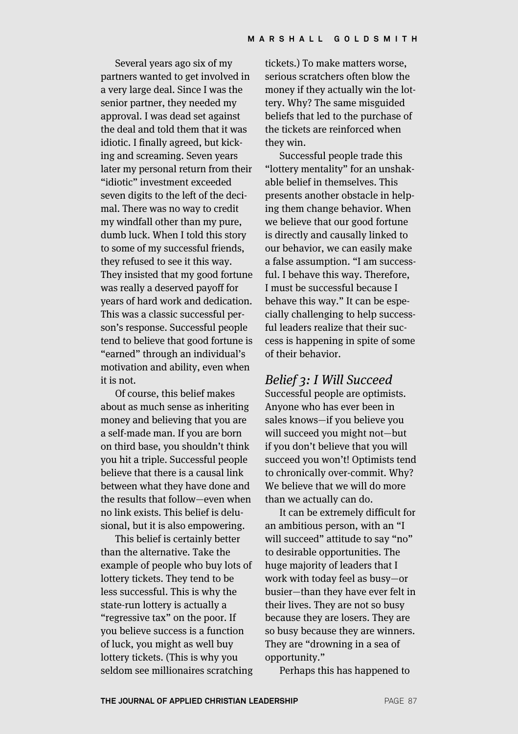Several years ago six of my partners wanted to get involved in a very large deal. Since I was the senior partner, they needed my approval. I was dead set against the deal and told them that it was idiotic. I finally agreed, but kicking and screaming. Seven years later my personal return from their "idiotic" investment exceeded seven digits to the left of the decimal. There was no way to credit my windfall other than my pure, dumb luck. When I told this story to some of my successful friends, they refused to see it this way. They insisted that my good fortune was really a deserved payoff for years of hard work and dedication. This was a classic successful person's response. Successful people tend to believe that good fortune is "earned" through an individual's motivation and ability, even when it is not.

Of course, this belief makes about as much sense as inheriting money and believing that you are a self-made man. If you are born on third base, you shouldn't think you hit a triple. Successful people believe that there is a causal link between what they have done and the results that follow—even when no link exists. This belief is delusional, but it is also empowering.

This belief is certainly better than the alternative. Take the example of people who buy lots of lottery tickets. They tend to be less successful. This is why the state-run lottery is actually a "regressive tax" on the poor. If you believe success is a function of luck, you might as well buy lottery tickets. (This is why you seldom see millionaires scratching

tickets.) To make matters worse, serious scratchers often blow the money if they actually win the lottery. Why? The same misguided beliefs that led to the purchase of the tickets are reinforced when they win.

Successful people trade this "lottery mentality" for an unshakable belief in themselves. This presents another obstacle in helping them change behavior. When we believe that our good fortune is directly and causally linked to our behavior, we can easily make a false assumption. "I am successful. I behave this way. Therefore, I must be successful because I behave this way." It can be especially challenging to help successful leaders realize that their success is happening in spite of some of their behavior.

#### Belief 3: I Will Succeed

Successful people are optimists. Anyone who has ever been in sales knows—if you believe you will succeed you might not—but if you don't believe that you will succeed you won't! Optimists tend to chronically over-commit. Why? We believe that we will do more than we actually can do.

It can be extremely difficult for an ambitious person, with an "I will succeed" attitude to say "no" to desirable opportunities. The huge majority of leaders that I work with today feel as busy—or busier—than they have ever felt in their lives. They are not so busy because they are losers. They are so busy because they are winners. They are "drowning in a sea of opportunity."

Perhaps this has happened to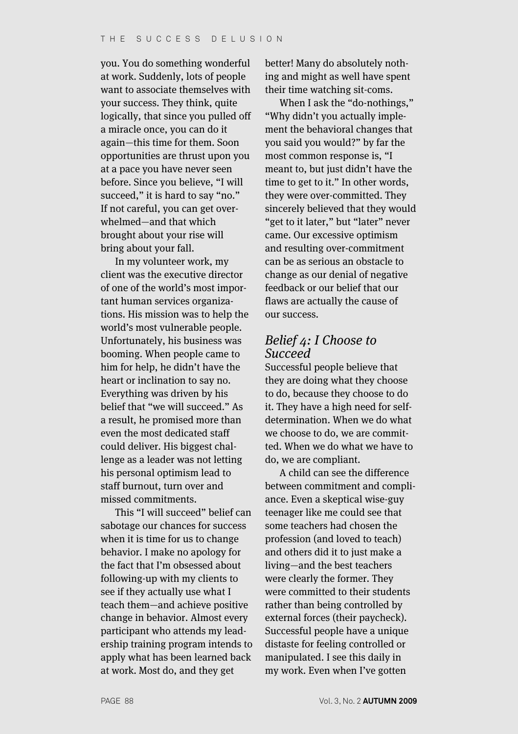you. You do something wonderful at work. Suddenly, lots of people want to associate themselves with your success. They think, quite logically, that since you pulled off a miracle once, you can do it again—this time for them. Soon opportunities are thrust upon you at a pace you have never seen before. Since you believe, "I will succeed," it is hard to say "no." If not careful, you can get overwhelmed—and that which brought about your rise will bring about your fall.

In my volunteer work, my client was the executive director of one of the world's most important human services organizations. His mission was to help the world's most vulnerable people. Unfortunately, his business was booming. When people came to him for help, he didn't have the heart or inclination to say no. Everything was driven by his belief that "we will succeed." As a result, he promised more than even the most dedicated staff could deliver. His biggest challenge as a leader was not letting his personal optimism lead to staff burnout, turn over and missed commitments.

This "I will succeed" belief can sabotage our chances for success when it is time for us to change behavior. I make no apology for the fact that I'm obsessed about following-up with my clients to see if they actually use what I teach them—and achieve positive change in behavior. Almost every participant who attends my leadership training program intends to apply what has been learned back at work. Most do, and they get

better! Many do absolutely nothing and might as well have spent their time watching sit-coms.

When I ask the "do-nothings," "Why didn't you actually implement the behavioral changes that you said you would?" by far the most common response is, "I meant to, but just didn't have the time to get to it." In other words, they were over-committed. They sincerely believed that they would "get to it later," but "later" never came. Our excessive optimism and resulting over-commitment can be as serious an obstacle to change as our denial of negative feedback or our belief that our flaws are actually the cause of our success.

#### Belief 4: I Choose to Succeed

Successful people believe that they are doing what they choose to do, because they choose to do it. They have a high need for selfdetermination. When we do what we choose to do, we are committed. When we do what we have to do, we are compliant.

A child can see the difference between commitment and compliance. Even a skeptical wise-guy teenager like me could see that some teachers had chosen the profession (and loved to teach) and others did it to just make a living—and the best teachers were clearly the former. They were committed to their students rather than being controlled by external forces (their paycheck). Successful people have a unique distaste for feeling controlled or manipulated. I see this daily in my work. Even when I've gotten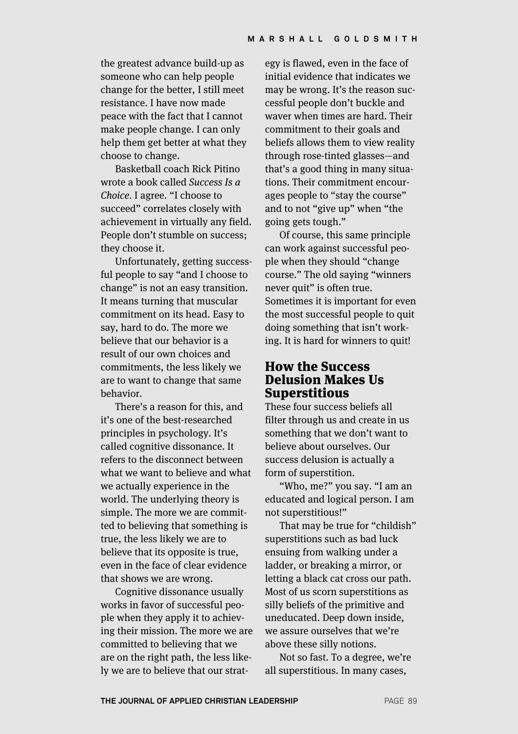the greatest advance build-up as someone who can help people change for the better, I still meet resistance. I have now made peace with the fact that I cannot make people change. I can only help them get better at what they choose to change.

Basketball coach Rick Pitino wrote a book called Success Is a Choice. I agree. "I choose to succeed" correlates closely with achievement in virtually any field. People don't stumble on success; they choose it.

Unfortunately, getting successful people to say "and I choose to change" is not an easy transition. It means turning that muscular commitment on its head. Easy to say, hard to do. The more we believe that our behavior is a result of our own choices and commitments, the less likely we are to want to change that same behavior.

There's a reason for this, and it's one of the best-researched principles in psychology. It's called cognitive dissonance. It refers to the disconnect between what we want to believe and what we actually experience in the world. The underlying theory is simple. The more we are committed to believing that something is true, the less likely we are to believe that its opposite is true, even in the face of clear evidence that shows we are wrong.

Cognitive dissonance usually works in favor of successful people when they apply it to achieving their mission. The more we are committed to believing that we are on the right path, the less likely we are to believe that our strategy is flawed, even in the face of initial evidence that indicates we may be wrong. It's the reason successful people don't buckle and waver when times are hard. Their commitment to their goals and beliefs allows them to view reality through rose-tinted glasses—and that's a good thing in many situations. Their commitment encourages people to "stay the course" and to not "give up" when "the going gets tough."

Of course, this same principle can work against successful people when they should "change course." The old saying "winners never quit" is often true. Sometimes it is important for even the most successful people to quit doing something that isn't working. It is hard for winners to quit!

#### How the Success Delusion Makes Us Superstitious

These four success beliefs all filter through us and create in us something that we don't want to believe about ourselves. Our success delusion is actually a form of superstition.

"Who, me?" you say. "I am an educated and logical person. I am not superstitious!"

That may be true for "childish" superstitions such as bad luck ensuing from walking under a ladder, or breaking a mirror, or letting a black cat cross our path. Most of us scorn superstitions as silly beliefs of the primitive and uneducated. Deep down inside, we assure ourselves that we're above these silly notions.

Not so fast. To a degree, we're all superstitious. In many cases,